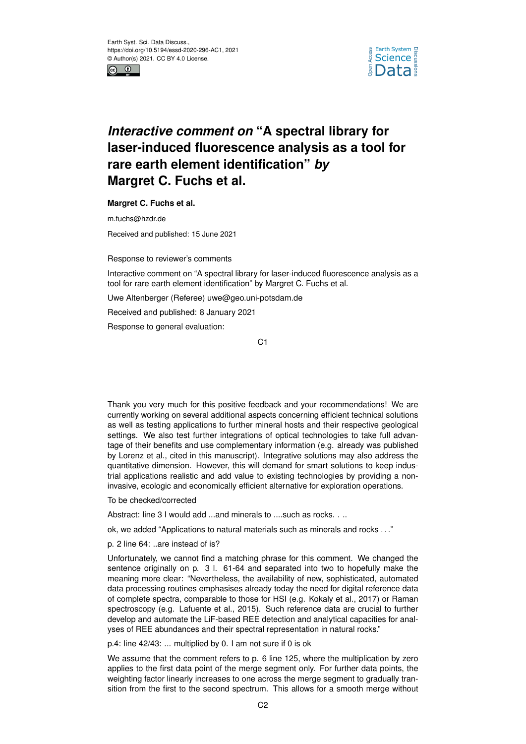



## *Interactive comment on* **"A spectral library for laser-induced fluorescence analysis as a tool for rare earth element identification"** *by* **Margret C. Fuchs et al.**

**Margret C. Fuchs et al.**

m.fuchs@hzdr.de

Received and published: 15 June 2021

Response to reviewer's comments

Interactive comment on "A spectral library for laser-induced fluorescence analysis as a tool for rare earth element identification" by Margret C. Fuchs et al.

Uwe Altenberger (Referee) uwe@geo.uni-potsdam.de

Received and published: 8 January 2021

Response to general evaluation:

C1

Thank you very much for this positive feedback and your recommendations! We are currently working on several additional aspects concerning efficient technical solutions as well as testing applications to further mineral hosts and their respective geological settings. We also test further integrations of optical technologies to take full advantage of their benefits and use complementary information (e.g. already was published by Lorenz et al., cited in this manuscript). Integrative solutions may also address the quantitative dimension. However, this will demand for smart solutions to keep industrial applications realistic and add value to existing technologies by providing a noninvasive, ecologic and economically efficient alternative for exploration operations.

To be checked/corrected

Abstract: line 3 I would add ...and minerals to ....such as rocks. . ..

ok, we added "Applications to natural materials such as minerals and rocks . . ."

p. 2 line 64: ..are instead of is?

Unfortunately, we cannot find a matching phrase for this comment. We changed the sentence originally on p. 3 l. 61-64 and separated into two to hopefully make the meaning more clear: "Nevertheless, the availability of new, sophisticated, automated data processing routines emphasises already today the need for digital reference data of complete spectra, comparable to those for HSI (e.g. Kokaly et al., 2017) or Raman spectroscopy (e.g. Lafuente et al., 2015). Such reference data are crucial to further develop and automate the LiF-based REE detection and analytical capacities for analyses of REE abundances and their spectral representation in natural rocks."

p.4: line 42/43: ... multiplied by 0. I am not sure if 0 is ok

We assume that the comment refers to p. 6 line 125, where the multiplication by zero applies to the first data point of the merge segment only. For further data points, the weighting factor linearly increases to one across the merge segment to gradually transition from the first to the second spectrum. This allows for a smooth merge without